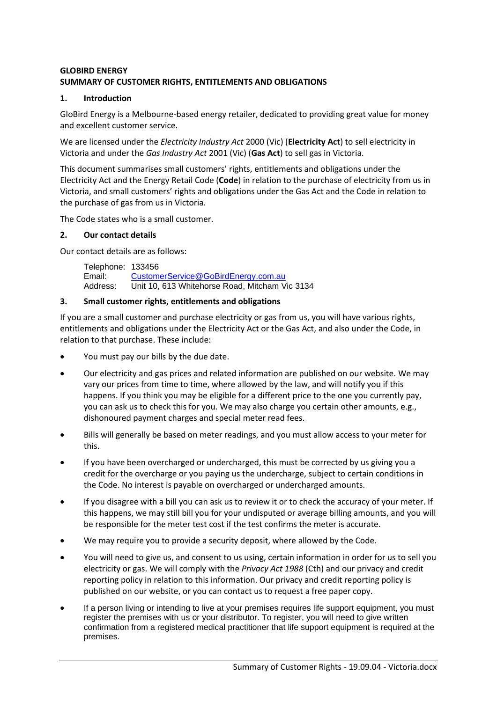### **GLOBIRD ENERGY SUMMARY OF CUSTOMER RIGHTS, ENTITLEMENTS AND OBLIGATIONS**

### **1. Introduction**

GloBird Energy is a Melbourne-based energy retailer, dedicated to providing great value for money and excellent customer service.

We are licensed under the *Electricity Industry Act* 2000 (Vic) (**Electricity Act**) to sell electricity in Victoria and under the *Gas Industry Act* 2001 (Vic) (**Gas Act**) to sell gas in Victoria.

This document summarises small customers' rights, entitlements and obligations under the Electricity Act and the Energy Retail Code (**Code**) in relation to the purchase of electricity from us in Victoria, and small customers' rights and obligations under the Gas Act and the Code in relation to the purchase of gas from us in Victoria.

The Code states who is a small customer.

#### **2. Our contact details**

Our contact details are as follows:

Telephone: 133456 Email: [CustomerService@GoBirdEnergy.com.au](mailto:CustomerService@GoBirdEnergy.com.au) Address: Unit 10, 613 Whitehorse Road, Mitcham Vic 3134

# **3. Small customer rights, entitlements and obligations**

If you are a small customer and purchase electricity or gas from us, you will have various rights, entitlements and obligations under the Electricity Act or the Gas Act, and also under the Code, in relation to that purchase. These include:

- You must pay our bills by the due date.
- Our electricity and gas prices and related information are published on our website. We may vary our prices from time to time, where allowed by the law, and will notify you if this happens. If you think you may be eligible for a different price to the one you currently pay, you can ask us to check this for you. We may also charge you certain other amounts, e.g., dishonoured payment charges and special meter read fees.
- Bills will generally be based on meter readings, and you must allow access to your meter for this.
- If you have been overcharged or undercharged, this must be corrected by us giving you a credit for the overcharge or you paying us the undercharge, subject to certain conditions in the Code. No interest is payable on overcharged or undercharged amounts.
- If you disagree with a bill you can ask us to review it or to check the accuracy of your meter. If this happens, we may still bill you for your undisputed or average billing amounts, and you will be responsible for the meter test cost if the test confirms the meter is accurate.
- We may require you to provide a security deposit, where allowed by the Code.
- You will need to give us, and consent to us using, certain information in order for us to sell you electricity or gas. We will comply with the *Privacy Act 1988* (Cth) and our privacy and credit reporting policy in relation to this information. Our privacy and credit reporting policy is published on our website, or you can contact us to request a free paper copy.
- If a person living or intending to live at your premises requires life support equipment, you must register the premises with us or your distributor. To register, you will need to give written confirmation from a registered medical practitioner that life support equipment is required at the premises.